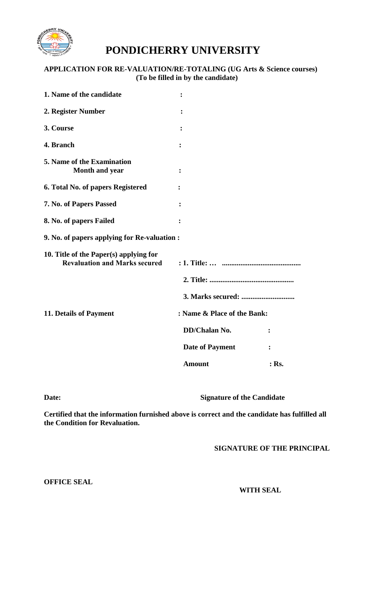

## **PONDICHERRY UNIVERSITY**

## **APPLICATION FOR RE-VALUATION/RE-TOTALING (UG Arts & Science courses) (To be filled in by the candidate)**

| 1. Name of the candidate                                                       | ፡                      |                |
|--------------------------------------------------------------------------------|------------------------|----------------|
| 2. Register Number                                                             | $\ddot{\cdot}$         |                |
| 3. Course                                                                      | $\ddot{\cdot}$         |                |
| 4. Branch                                                                      | $\ddot{\cdot}$         |                |
| 5. Name of the Examination<br>Month and year                                   |                        |                |
| 6. Total No. of papers Registered                                              |                        |                |
| 7. No. of Papers Passed                                                        |                        |                |
| 8. No. of papers Failed                                                        | :                      |                |
| 9. No. of papers applying for Re-valuation :                                   |                        |                |
| 10. Title of the Paper(s) applying for<br><b>Revaluation and Marks secured</b> |                        |                |
|                                                                                |                        |                |
|                                                                                |                        |                |
| 11. Details of Payment<br>: Name & Place of the Bank:                          |                        |                |
|                                                                                | DD/Chalan No.          | $\ddot{\cdot}$ |
|                                                                                | <b>Date of Payment</b> | :              |
|                                                                                | <b>Amount</b>          | $:$ Rs.        |

**Date: Signature of the Candidate**

**Certified that the information furnished above is correct and the candidate has fulfilled all the Condition for Revaluation.**

**SIGNATURE OF THE PRINCIPAL**

**OFFICE SEAL**

 **WITH SEAL**